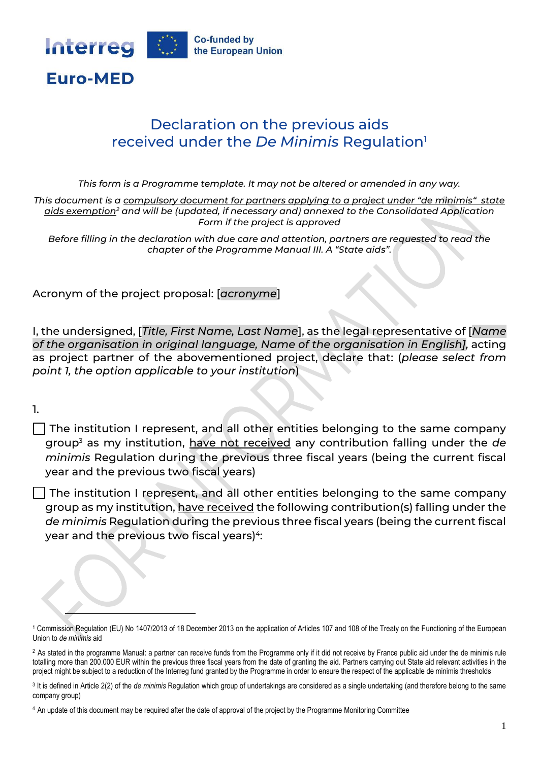

## Declaration on the previous aids received under the *De Minimis* Regulation<sup>1</sup>

*This form is a Programme template. It may not be altered or amended in any way.* 

*This document is a compulsory document for partners applying to a project under "de minimis" state aids exemption<sup>2</sup> and will be (updated, if necessary and) annexed to the Consolidated Application Form if the project is approved*

*Before filling in the declaration with due care and attention, partners are requested to read the chapter of the Programme Manual III. A "State aids".*

Acronym of the project proposal: [*acronyme*]

I, the undersigned, [*Title, First Name, Last Name*], as the legal representative of [*Name of the organisation in original language, Name of the organisation in English],* acting as project partner of the abovementioned project, declare that: (*please select from point 1, the option applicable to your institution*)

1.

 $\Box$  The institution I represent, and all other entities belonging to the same company group<sup>3</sup> as my institution, have not received any contribution falling under the *de minimis* Regulation during the previous three fiscal years (being the current fiscal year and the previous two fiscal years)

 $\Box$  The institution I represent, and all other entities belonging to the same company group as my institution, have received the following contribution(s) falling under the *de minimis* Regulation during the previous three fiscal years (being the current fiscal year and the previous two fiscal years)4:

<sup>1</sup> Commission Regulation (EU) No 1407/2013 of 18 December 2013 on the application of Articles 107 and 108 of the Treaty on the Functioning of the European Union to *de minimis* aid

<sup>&</sup>lt;sup>2</sup> As stated in the programme Manual: a partner can receive funds from the Programme only if it did not receive by France public aid under the de minimis rule totalling more than 200.000 EUR within the previous three fiscal years from the date of granting the aid. Partners carrying out State aid relevant activities in the project might be subject to a reduction of the Interreg fund granted by the Programme in order to ensure the respect of the applicable de minimis thresholds

<sup>&</sup>lt;sup>3</sup> It is defined in Article 2(2) of the *de minimis* Regulation which group of undertakings are considered as a single undertaking (and therefore belong to the same company group)

<sup>4</sup> An update of this document may be required after the date of approval of the project by the Programme Monitoring Committee